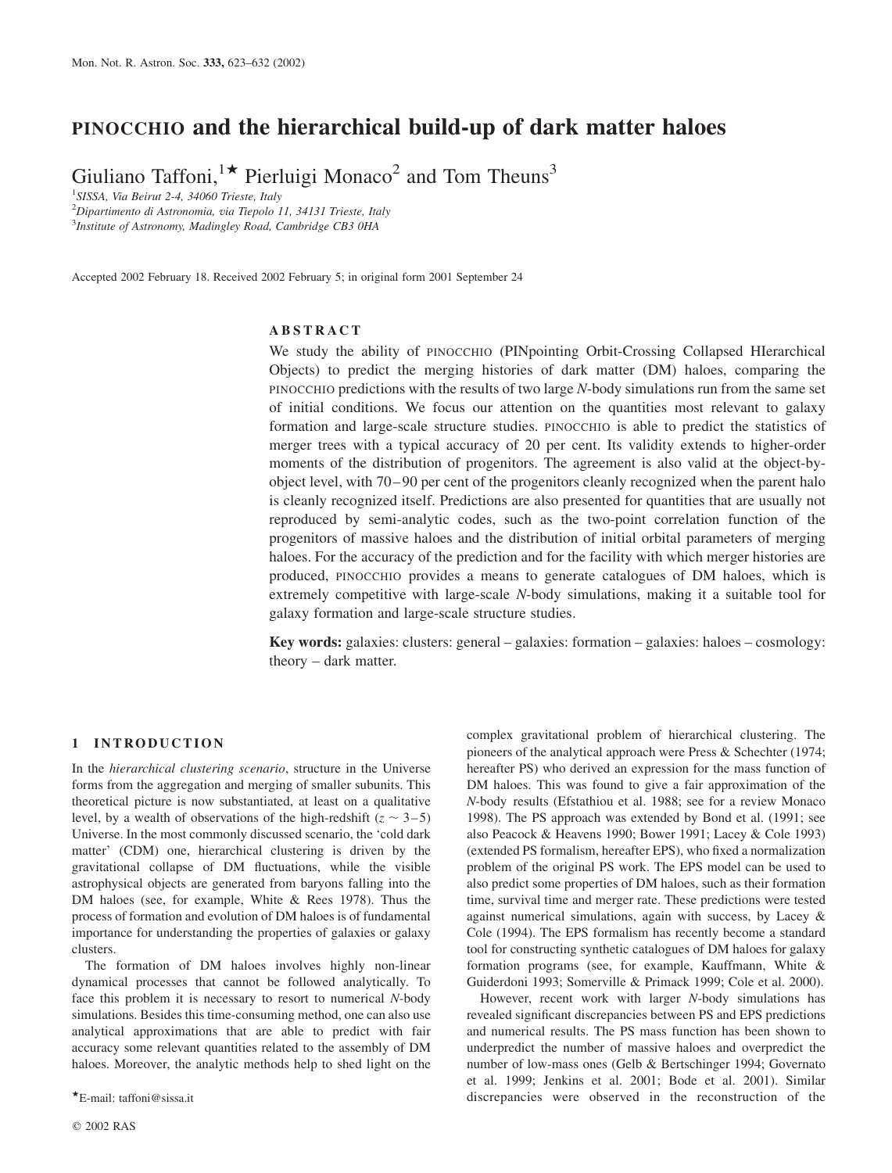# PINOCCHIO and the hierarchical build-up of dark matter haloes

Giuliano Taffoni,<sup>1\*</sup> Pierluigi Monaco<sup>2</sup> and Tom Theuns<sup>3</sup>

<sup>1</sup>SISSA, Via Beirut 2-4, 34060 Trieste, Italy

 $^{2}$ Dipartimento di Astronomia, via Tiepolo 11, 34131 Trieste, Italy <sup>3</sup> Institute of Astronomy, Madingley Road, Cambridge CB3 0HA

Accepted 2002 February 18. Received 2002 February 5; in original form 2001 September 24

## ABSTRACT

We study the ability of PINOCCHIO (PINpointing Orbit-Crossing Collapsed HIerarchical Objects) to predict the merging histories of dark matter (DM) haloes, comparing the PINOCCHIO predictions with the results of two large N-body simulations run from the same set of initial conditions. We focus our attention on the quantities most relevant to galaxy formation and large-scale structure studies. PINOCCHIO is able to predict the statistics of merger trees with a typical accuracy of 20 per cent. Its validity extends to higher-order moments of the distribution of progenitors. The agreement is also valid at the object-byobject level, with 70–90 per cent of the progenitors cleanly recognized when the parent halo is cleanly recognized itself. Predictions are also presented for quantities that are usually not reproduced by semi-analytic codes, such as the two-point correlation function of the progenitors of massive haloes and the distribution of initial orbital parameters of merging haloes. For the accuracy of the prediction and for the facility with which merger histories are produced, PINOCCHIO provides a means to generate catalogues of DM haloes, which is extremely competitive with large-scale N-body simulations, making it a suitable tool for galaxy formation and large-scale structure studies.

Key words: galaxies: clusters: general – galaxies: formation – galaxies: haloes – cosmology: theory – dark matter.

#### 1 INTRODUCTION

In the hierarchical clustering scenario, structure in the Universe forms from the aggregation and merging of smaller subunits. This theoretical picture is now substantiated, at least on a qualitative level, by a wealth of observations of the high-redshift  $(z \sim 3-5)$ Universe. In the most commonly discussed scenario, the 'cold dark matter' (CDM) one, hierarchical clustering is driven by the gravitational collapse of DM fluctuations, while the visible astrophysical objects are generated from baryons falling into the DM haloes (see, for example, White & Rees 1978). Thus the process of formation and evolution of DM haloes is of fundamental importance for understanding the properties of galaxies or galaxy clusters.

The formation of DM haloes involves highly non-linear dynamical processes that cannot be followed analytically. To face this problem it is necessary to resort to numerical N-body simulations. Besides this time-consuming method, one can also use analytical approximations that are able to predict with fair accuracy some relevant quantities related to the assembly of DM haloes. Moreover, the analytic methods help to shed light on the

complex gravitational problem of hierarchical clustering. The pioneers of the analytical approach were Press & Schechter (1974; hereafter PS) who derived an expression for the mass function of DM haloes. This was found to give a fair approximation of the N-body results (Efstathiou et al. 1988; see for a review Monaco 1998). The PS approach was extended by Bond et al. (1991; see also Peacock & Heavens 1990; Bower 1991; Lacey & Cole 1993) (extended PS formalism, hereafter EPS), who fixed a normalization problem of the original PS work. The EPS model can be used to also predict some properties of DM haloes, such as their formation time, survival time and merger rate. These predictions were tested against numerical simulations, again with success, by Lacey & Cole (1994). The EPS formalism has recently become a standard tool for constructing synthetic catalogues of DM haloes for galaxy formation programs (see, for example, Kauffmann, White & Guiderdoni 1993; Somerville & Primack 1999; Cole et al. 2000).

However, recent work with larger N-body simulations has revealed significant discrepancies between PS and EPS predictions and numerical results. The PS mass function has been shown to underpredict the number of massive haloes and overpredict the number of low-mass ones (Gelb & Bertschinger 1994; Governato et al. 1999; Jenkins et al. 2001; Bode et al. 2001). Similar \*E-mail: taffoni@sissa.it **discrepancies** were observed in the reconstruction of the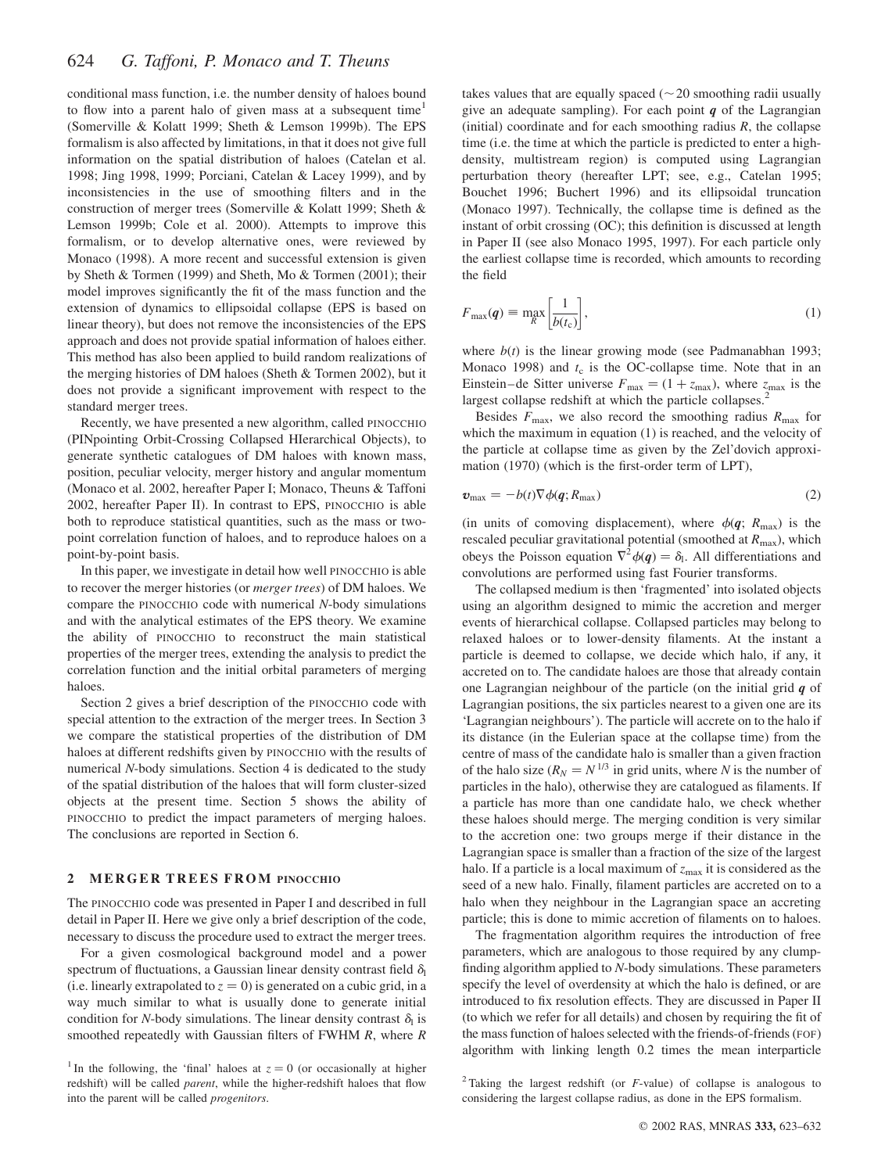conditional mass function, i.e. the number density of haloes bound to flow into a parent halo of given mass at a subsequent time<sup>1</sup> (Somerville & Kolatt 1999; Sheth & Lemson 1999b). The EPS formalism is also affected by limitations, in that it does not give full information on the spatial distribution of haloes (Catelan et al. 1998; Jing 1998, 1999; Porciani, Catelan & Lacey 1999), and by inconsistencies in the use of smoothing filters and in the construction of merger trees (Somerville & Kolatt 1999; Sheth & Lemson 1999b; Cole et al. 2000). Attempts to improve this formalism, or to develop alternative ones, were reviewed by Monaco (1998). A more recent and successful extension is given by Sheth & Tormen (1999) and Sheth, Mo & Tormen (2001); their model improves significantly the fit of the mass function and the extension of dynamics to ellipsoidal collapse (EPS is based on linear theory), but does not remove the inconsistencies of the EPS approach and does not provide spatial information of haloes either. This method has also been applied to build random realizations of the merging histories of DM haloes (Sheth & Tormen 2002), but it does not provide a significant improvement with respect to the standard merger trees.

Recently, we have presented a new algorithm, called PINOCCHIO (PINpointing Orbit-Crossing Collapsed HIerarchical Objects), to generate synthetic catalogues of DM haloes with known mass, position, peculiar velocity, merger history and angular momentum (Monaco et al. 2002, hereafter Paper I; Monaco, Theuns & Taffoni 2002, hereafter Paper II). In contrast to EPS, PINOCCHIO is able both to reproduce statistical quantities, such as the mass or twopoint correlation function of haloes, and to reproduce haloes on a point-by-point basis.

In this paper, we investigate in detail how well PINOCCHIO is able to recover the merger histories (or merger trees) of DM haloes. We compare the PINOCCHIO code with numerical N-body simulations and with the analytical estimates of the EPS theory. We examine the ability of PINOCCHIO to reconstruct the main statistical properties of the merger trees, extending the analysis to predict the correlation function and the initial orbital parameters of merging haloes.

Section 2 gives a brief description of the PINOCCHIO code with special attention to the extraction of the merger trees. In Section 3 we compare the statistical properties of the distribution of DM haloes at different redshifts given by PINOCCHIO with the results of numerical N-body simulations. Section 4 is dedicated to the study of the spatial distribution of the haloes that will form cluster-sized objects at the present time. Section 5 shows the ability of PINOCCHIO to predict the impact parameters of merging haloes. The conclusions are reported in Section 6.

#### 2 MERGER TREES FROM PINOCCHIO

The PINOCCHIO code was presented in Paper I and described in full detail in Paper II. Here we give only a brief description of the code, necessary to discuss the procedure used to extract the merger trees.

For a given cosmological background model and a power spectrum of fluctuations, a Gaussian linear density contrast field  $\delta_{\rm l}$ (i.e. linearly extrapolated to  $z = 0$ ) is generated on a cubic grid, in a way much similar to what is usually done to generate initial condition for N-body simulations. The linear density contrast  $\delta_1$  is smoothed repeatedly with Gaussian filters of FWHM R, where R

takes values that are equally spaced ( $\sim$  20 smoothing radii usually give an adequate sampling). For each point  $q$  of the Lagrangian (initial) coordinate and for each smoothing radius  $R$ , the collapse time (i.e. the time at which the particle is predicted to enter a highdensity, multistream region) is computed using Lagrangian perturbation theory (hereafter LPT; see, e.g., Catelan 1995; Bouchet 1996; Buchert 1996) and its ellipsoidal truncation (Monaco 1997). Technically, the collapse time is defined as the instant of orbit crossing (OC); this definition is discussed at length in Paper II (see also Monaco 1995, 1997). For each particle only the earliest collapse time is recorded, which amounts to recording the field

$$
F_{\max}(q) \equiv \max_{R} \left[ \frac{1}{b(t_{\rm c})} \right],\tag{1}
$$

where  $b(t)$  is the linear growing mode (see Padmanabhan 1993; Monaco 1998) and  $t_c$  is the OC-collapse time. Note that in an Einstein–de Sitter universe  $F_{\text{max}} = (1 + z_{\text{max}})$ , where  $z_{\text{max}}$  is the largest collapse redshift at which the particle collapses.<sup>2</sup>

Besides  $F_{\text{max}}$ , we also record the smoothing radius  $R_{\text{max}}$  for which the maximum in equation (1) is reached, and the velocity of the particle at collapse time as given by the Zel'dovich approximation (1970) (which is the first-order term of LPT),

$$
\boldsymbol{v}_{\text{max}} = -b(t)\nabla\phi(\boldsymbol{q};R_{\text{max}}) \tag{2}
$$

(in units of comoving displacement), where  $\phi(q; R_{\text{max}})$  is the rescaled peculiar gravitational potential (smoothed at  $R_{\text{max}}$ ), which obeys the Poisson equation  $\nabla^2 \phi(q) = \delta_l$ . All differentiations and convolutions are performed using fast Fourier transforms.

The collapsed medium is then 'fragmented' into isolated objects using an algorithm designed to mimic the accretion and merger events of hierarchical collapse. Collapsed particles may belong to relaxed haloes or to lower-density filaments. At the instant a particle is deemed to collapse, we decide which halo, if any, it accreted on to. The candidate haloes are those that already contain one Lagrangian neighbour of the particle (on the initial grid  $q$  of Lagrangian positions, the six particles nearest to a given one are its 'Lagrangian neighbours'). The particle will accrete on to the halo if its distance (in the Eulerian space at the collapse time) from the centre of mass of the candidate halo is smaller than a given fraction of the halo size  $(R_N = N^{1/3}$  in grid units, where N is the number of particles in the halo), otherwise they are catalogued as filaments. If a particle has more than one candidate halo, we check whether these haloes should merge. The merging condition is very similar to the accretion one: two groups merge if their distance in the Lagrangian space is smaller than a fraction of the size of the largest halo. If a particle is a local maximum of  $z_{\text{max}}$  it is considered as the seed of a new halo. Finally, filament particles are accreted on to a halo when they neighbour in the Lagrangian space an accreting particle; this is done to mimic accretion of filaments on to haloes.

The fragmentation algorithm requires the introduction of free parameters, which are analogous to those required by any clumpfinding algorithm applied to N-body simulations. These parameters specify the level of overdensity at which the halo is defined, or are introduced to fix resolution effects. They are discussed in Paper II (to which we refer for all details) and chosen by requiring the fit of the mass function of haloes selected with the friends-of-friends (FOF) algorithm with linking length 0.2 times the mean interparticle

<sup>&</sup>lt;sup>1</sup> In the following, the 'final' haloes at  $z = 0$  (or occasionally at higher redshift) will be called *parent*, while the higher-redshift haloes that flow into the parent will be called progenitors.

<sup>&</sup>lt;sup>2</sup> Taking the largest redshift (or  $F$ -value) of collapse is analogous to considering the largest collapse radius, as done in the EPS formalism.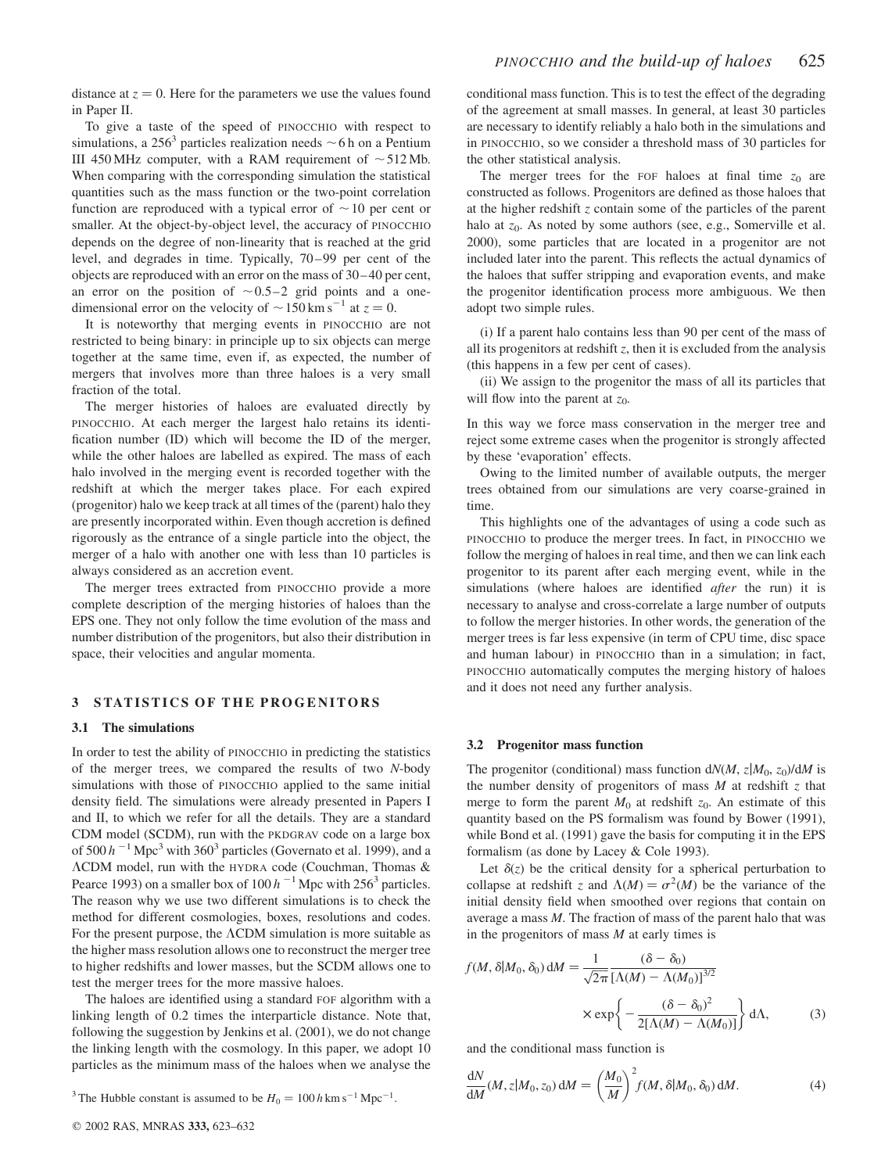distance at  $z = 0$ . Here for the parameters we use the values found in Paper II.

To give a taste of the speed of PINOCCHIO with respect to simulations, a 256<sup>3</sup> particles realization needs  $\sim$  6 h on a Pentium III 450 MHz computer, with a RAM requirement of  $\sim$  512 Mb. When comparing with the corresponding simulation the statistical quantities such as the mass function or the two-point correlation function are reproduced with a typical error of  $\sim$  10 per cent or smaller. At the object-by-object level, the accuracy of PINOCCHIO depends on the degree of non-linearity that is reached at the grid level, and degrades in time. Typically, 70–99 per cent of the objects are reproduced with an error on the mass of 30–40 per cent, an error on the position of  $\sim 0.5-2$  grid points and a onedimensional error on the velocity of  $\sim$  150 km s<sup>-1</sup> at  $z = 0$ .

It is noteworthy that merging events in PINOCCHIO are not restricted to being binary: in principle up to six objects can merge together at the same time, even if, as expected, the number of mergers that involves more than three haloes is a very small fraction of the total.

The merger histories of haloes are evaluated directly by PINOCCHIO. At each merger the largest halo retains its identification number (ID) which will become the ID of the merger, while the other haloes are labelled as expired. The mass of each halo involved in the merging event is recorded together with the redshift at which the merger takes place. For each expired (progenitor) halo we keep track at all times of the (parent) halo they are presently incorporated within. Even though accretion is defined rigorously as the entrance of a single particle into the object, the merger of a halo with another one with less than 10 particles is always considered as an accretion event.

The merger trees extracted from PINOCCHIO provide a more complete description of the merging histories of haloes than the EPS one. They not only follow the time evolution of the mass and number distribution of the progenitors, but also their distribution in space, their velocities and angular momenta.

#### 3 STATISTICS OF THE PROGENITORS

#### 3.1 The simulations

In order to test the ability of PINOCCHIO in predicting the statistics of the merger trees, we compared the results of two N-body simulations with those of PINOCCHIO applied to the same initial density field. The simulations were already presented in Papers I and II, to which we refer for all the details. They are a standard CDM model (SCDM), run with the PKDGRAV code on a large box of 500  $h^{-1}$  Mpc<sup>3</sup> with 360<sup>3</sup> particles (Governato et al. 1999), and a LCDM model, run with the HYDRA code (Couchman, Thomas & Pearce 1993) on a smaller box of  $100 h^{-1}$  Mpc with 256<sup>3</sup> particles. The reason why we use two different simulations is to check the method for different cosmologies, boxes, resolutions and codes. For the present purpose, the  $\Lambda$ CDM simulation is more suitable as the higher mass resolution allows one to reconstruct the merger tree to higher redshifts and lower masses, but the SCDM allows one to test the merger trees for the more massive haloes.

The haloes are identified using a standard FOF algorithm with a linking length of 0.2 times the interparticle distance. Note that, following the suggestion by Jenkins et al. (2001), we do not change the linking length with the cosmology. In this paper, we adopt 10 particles as the minimum mass of the haloes when we analyse the

<sup>3</sup> The Hubble constant is assumed to be  $H_0 = 100 h \text{ km s}^{-1} \text{ Mpc}^{-1}$ .

conditional mass function. This is to test the effect of the degrading of the agreement at small masses. In general, at least 30 particles are necessary to identify reliably a halo both in the simulations and in PINOCCHIO, so we consider a threshold mass of 30 particles for the other statistical analysis.

The merger trees for the FOF haloes at final time  $z_0$  are constructed as follows. Progenitors are defined as those haloes that at the higher redshift z contain some of the particles of the parent halo at  $z_0$ . As noted by some authors (see, e.g., Somerville et al. 2000), some particles that are located in a progenitor are not included later into the parent. This reflects the actual dynamics of the haloes that suffer stripping and evaporation events, and make the progenitor identification process more ambiguous. We then adopt two simple rules.

(i) If a parent halo contains less than 90 per cent of the mass of all its progenitors at redshift  $z$ , then it is excluded from the analysis (this happens in a few per cent of cases).

(ii) We assign to the progenitor the mass of all its particles that will flow into the parent at  $z_0$ .

In this way we force mass conservation in the merger tree and reject some extreme cases when the progenitor is strongly affected by these 'evaporation' effects.

Owing to the limited number of available outputs, the merger trees obtained from our simulations are very coarse-grained in time.

This highlights one of the advantages of using a code such as PINOCCHIO to produce the merger trees. In fact, in PINOCCHIO we follow the merging of haloes in real time, and then we can link each progenitor to its parent after each merging event, while in the simulations (where haloes are identified *after* the run) it is necessary to analyse and cross-correlate a large number of outputs to follow the merger histories. In other words, the generation of the merger trees is far less expensive (in term of CPU time, disc space and human labour) in PINOCCHIO than in a simulation; in fact, PINOCCHIO automatically computes the merging history of haloes and it does not need any further analysis.

#### 3.2 Progenitor mass function

The progenitor (conditional) mass function  $dN(M, z|M_0, z_0)/dM$  is the number density of progenitors of mass  $M$  at redshift  $z$  that merge to form the parent  $M_0$  at redshift  $z_0$ . An estimate of this quantity based on the PS formalism was found by Bower (1991), while Bond et al. (1991) gave the basis for computing it in the EPS formalism (as done by Lacey & Cole 1993).

Let  $\delta(z)$  be the critical density for a spherical perturbation to collapse at redshift z and  $\Lambda(M) = \sigma^2(M)$  be the variance of the initial density field when smoothed over regions that contain on average a mass M. The fraction of mass of the parent halo that was in the progenitors of mass  $M$  at early times is

$$
f(M, \delta|M_0, \delta_0) dM = \frac{1}{\sqrt{2\pi}} \frac{(\delta - \delta_0)}{[\Lambda(M) - \Lambda(M_0)]^{3/2}}
$$

$$
\times \exp\left\{-\frac{(\delta - \delta_0)^2}{2[\Lambda(M) - \Lambda(M_0)]}\right\} d\Lambda,
$$
 (3)

and the conditional mass function is

$$
\frac{dN}{dM}(M, z|M_0, z_0) dM = \left(\frac{M_0}{M}\right)^2 f(M, \delta|M_0, \delta_0) dM.
$$
\n(4)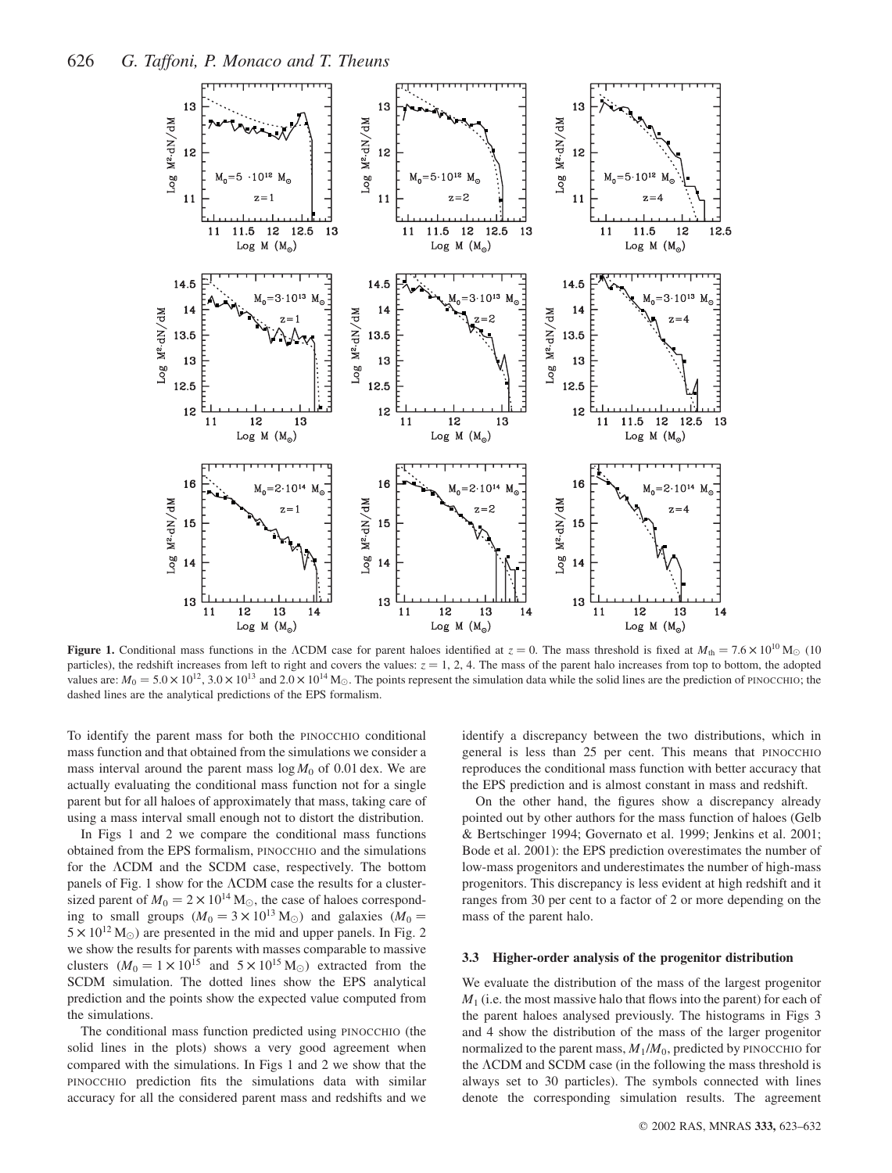

**Figure 1.** Conditional mass functions in the ACDM case for parent haloes identified at  $z = 0$ . The mass threshold is fixed at  $M_{th} = 7.6 \times 10^{10}$  M<sub>\oo</sub> (10) particles), the redshift increases from left to right and covers the values:  $z = 1, 2, 4$ . The mass of the parent halo increases from top to bottom, the adopted values are:  $M_0 = 5.0 \times 10^{12}$ ,  $3.0 \times 10^{13}$  and  $2.0 \times 10^{14}$  M<sub>O</sub>. The points represent the simulation data while the solid lines are the prediction of PINOCCHIO; the dashed lines are the analytical predictions of the EPS formalism.

To identify the parent mass for both the PINOCCHIO conditional mass function and that obtained from the simulations we consider a mass interval around the parent mass  $\log M_0$  of 0.01 dex. We are actually evaluating the conditional mass function not for a single parent but for all haloes of approximately that mass, taking care of using a mass interval small enough not to distort the distribution.

In Figs 1 and 2 we compare the conditional mass functions obtained from the EPS formalism, PINOCCHIO and the simulations for the ACDM and the SCDM case, respectively. The bottom panels of Fig. 1 show for the  $\Lambda$ CDM case the results for a clustersized parent of  $M_0 = 2 \times 10^{14}$  M<sub>☉</sub>, the case of haloes corresponding to small groups  $(M_0 = 3 \times 10^{13} M_{\odot})$  and galaxies  $(M_0 =$  $5 \times 10^{12}$  M<sub>o</sub>) are presented in the mid and upper panels. In Fig. 2 we show the results for parents with masses comparable to massive clusters  $(M_0 = 1 \times 10^{15}$  and  $5 \times 10^{15}$  M<sub>o</sub>) extracted from the SCDM simulation. The dotted lines show the EPS analytical prediction and the points show the expected value computed from the simulations.

The conditional mass function predicted using PINOCCHIO (the solid lines in the plots) shows a very good agreement when compared with the simulations. In Figs 1 and 2 we show that the PINOCCHIO prediction fits the simulations data with similar accuracy for all the considered parent mass and redshifts and we

identify a discrepancy between the two distributions, which in general is less than 25 per cent. This means that PINOCCHIO reproduces the conditional mass function with better accuracy that the EPS prediction and is almost constant in mass and redshift.

On the other hand, the figures show a discrepancy already pointed out by other authors for the mass function of haloes (Gelb & Bertschinger 1994; Governato et al. 1999; Jenkins et al. 2001; Bode et al. 2001): the EPS prediction overestimates the number of low-mass progenitors and underestimates the number of high-mass progenitors. This discrepancy is less evident at high redshift and it ranges from 30 per cent to a factor of 2 or more depending on the mass of the parent halo.

#### 3.3 Higher-order analysis of the progenitor distribution

We evaluate the distribution of the mass of the largest progenitor  $M<sub>1</sub>$  (i.e. the most massive halo that flows into the parent) for each of the parent haloes analysed previously. The histograms in Figs 3 and 4 show the distribution of the mass of the larger progenitor normalized to the parent mass,  $M_1/M_0$ , predicted by PINOCCHIO for the ACDM and SCDM case (in the following the mass threshold is always set to 30 particles). The symbols connected with lines denote the corresponding simulation results. The agreement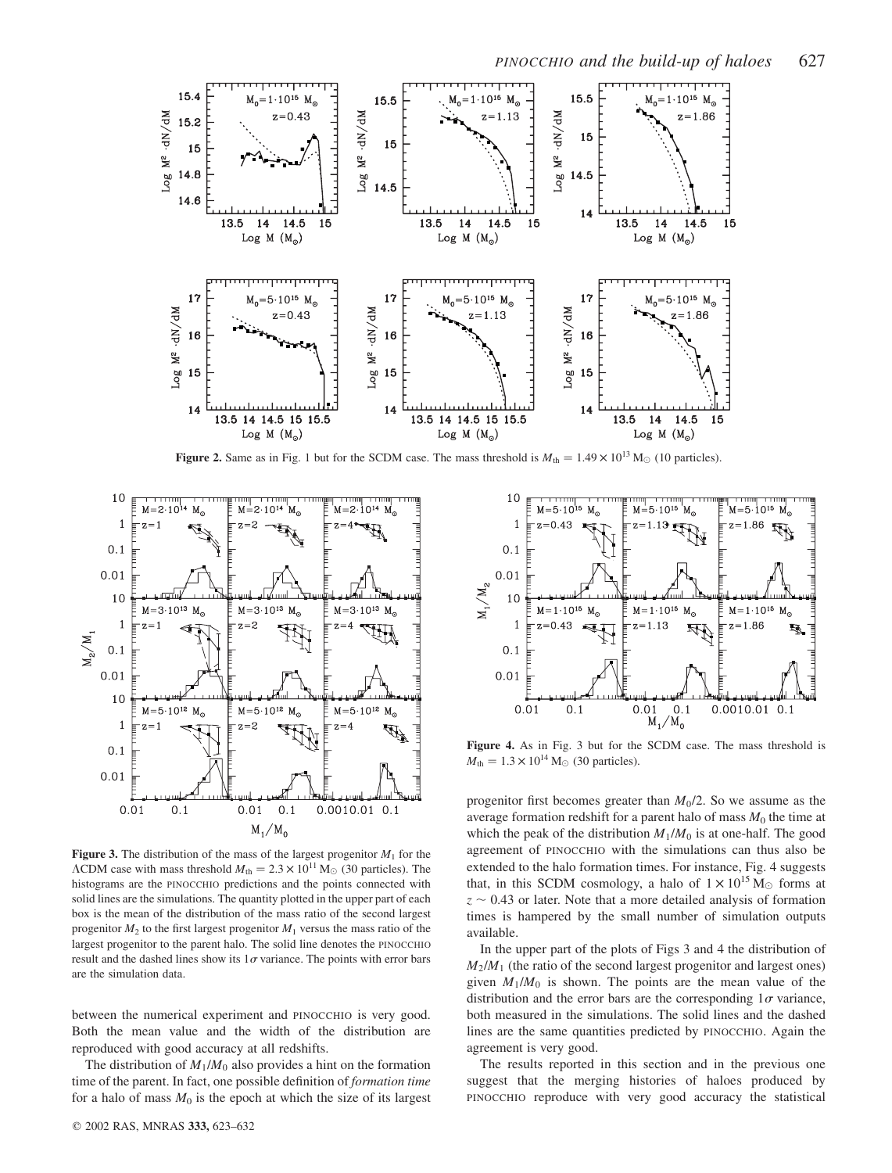

**Figure 2.** Same as in Fig. 1 but for the SCDM case. The mass threshold is  $M_{th} = 1.49 \times 10^{13}$  M<sub>O</sub> (10 particles).



Figure 3. The distribution of the mass of the largest progenitor  $M_1$  for the  $\Lambda$ CDM case with mass threshold  $M_{\text{th}} = 2.3 \times 10^{11} \text{ M}_{\odot}$  (30 particles). The histograms are the PINOCCHIO predictions and the points connected with solid lines are the simulations. The quantity plotted in the upper part of each box is the mean of the distribution of the mass ratio of the second largest progenitor  $M_2$  to the first largest progenitor  $M_1$  versus the mass ratio of the largest progenitor to the parent halo. The solid line denotes the PINOCCHIO result and the dashed lines show its  $1\sigma$  variance. The points with error bars are the simulation data.

between the numerical experiment and PINOCCHIO is very good. Both the mean value and the width of the distribution are reproduced with good accuracy at all redshifts.

The distribution of  $M_1/M_0$  also provides a hint on the formation time of the parent. In fact, one possible definition of formation time for a halo of mass  $M_0$  is the epoch at which the size of its largest



Figure 4. As in Fig. 3 but for the SCDM case. The mass threshold is  $M_{\text{th}} = 1.3 \times 10^{14} \,\text{M}_{\odot}$  (30 particles).

progenitor first becomes greater than  $M_0/2$ . So we assume as the average formation redshift for a parent halo of mass  $M_0$  the time at which the peak of the distribution  $M_1/M_0$  is at one-half. The good agreement of PINOCCHIO with the simulations can thus also be extended to the halo formation times. For instance, Fig. 4 suggests that, in this SCDM cosmology, a halo of  $1 \times 10^{15}$  M<sub> $\odot$ </sub> forms at  $z \sim 0.43$  or later. Note that a more detailed analysis of formation times is hampered by the small number of simulation outputs available.

In the upper part of the plots of Figs 3 and 4 the distribution of  $M_2/M_1$  (the ratio of the second largest progenitor and largest ones) given  $M_1/M_0$  is shown. The points are the mean value of the distribution and the error bars are the corresponding  $1\sigma$  variance, both measured in the simulations. The solid lines and the dashed lines are the same quantities predicted by PINOCCHIO. Again the agreement is very good.

The results reported in this section and in the previous one suggest that the merging histories of haloes produced by PINOCCHIO reproduce with very good accuracy the statistical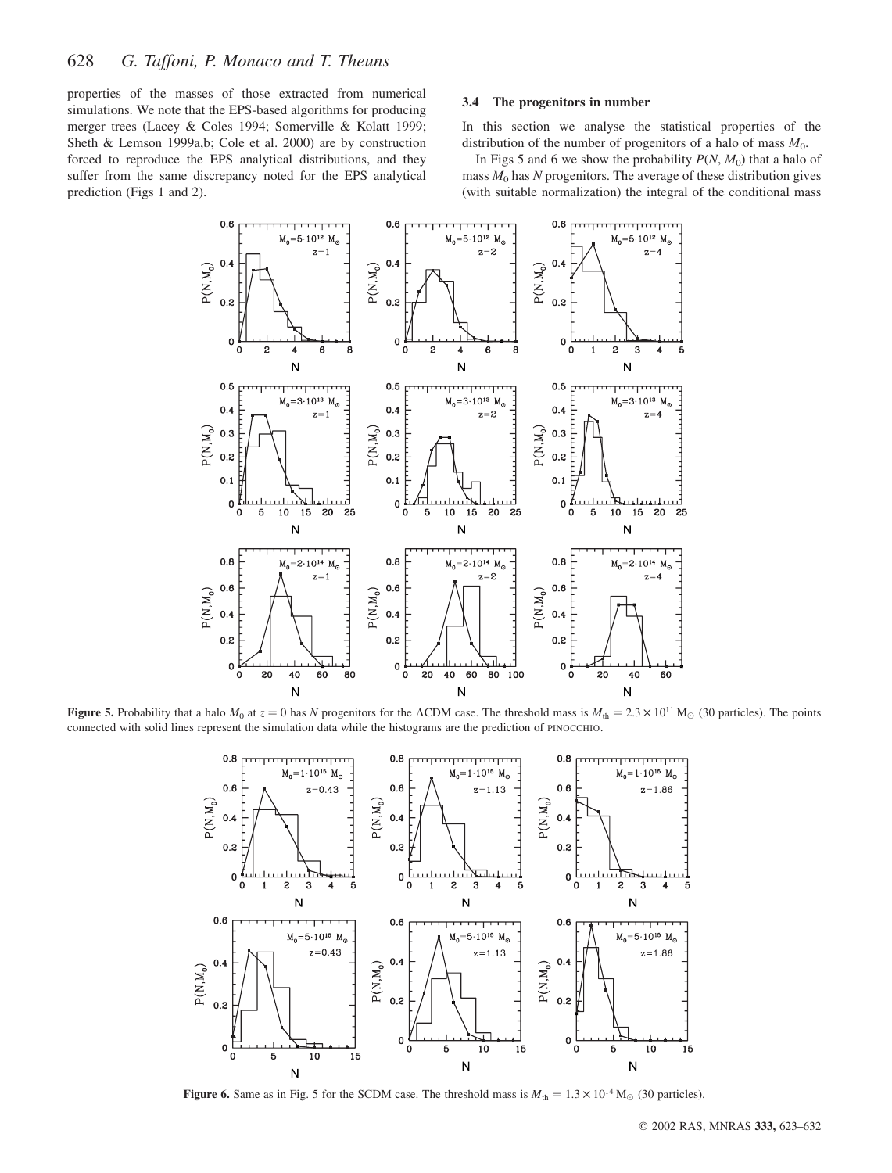properties of the masses of those extracted from numerical simulations. We note that the EPS-based algorithms for producing merger trees (Lacey & Coles 1994; Somerville & Kolatt 1999; Sheth & Lemson 1999a,b; Cole et al. 2000) are by construction forced to reproduce the EPS analytical distributions, and they suffer from the same discrepancy noted for the EPS analytical prediction (Figs 1 and 2).

#### 3.4 The progenitors in number

In this section we analyse the statistical properties of the distribution of the number of progenitors of a halo of mass  $M_0$ .

In Figs 5 and 6 we show the probability  $P(N, M_0)$  that a halo of mass  $M_0$  has N progenitors. The average of these distribution gives (with suitable normalization) the integral of the conditional mass



**Figure 5.** Probability that a halo  $M_0$  at  $z = 0$  has N progenitors for the ACDM case. The threshold mass is  $M_{th} = 2.3 \times 10^{11}$  M<sub>\o</sub> (30 particles). The points connected with solid lines represent the simulation data while the histograms are the prediction of PINOCCHIO.



**Figure 6.** Same as in Fig. 5 for the SCDM case. The threshold mass is  $M_{th} = 1.3 \times 10^{14}$  M<sub>O</sub> (30 particles).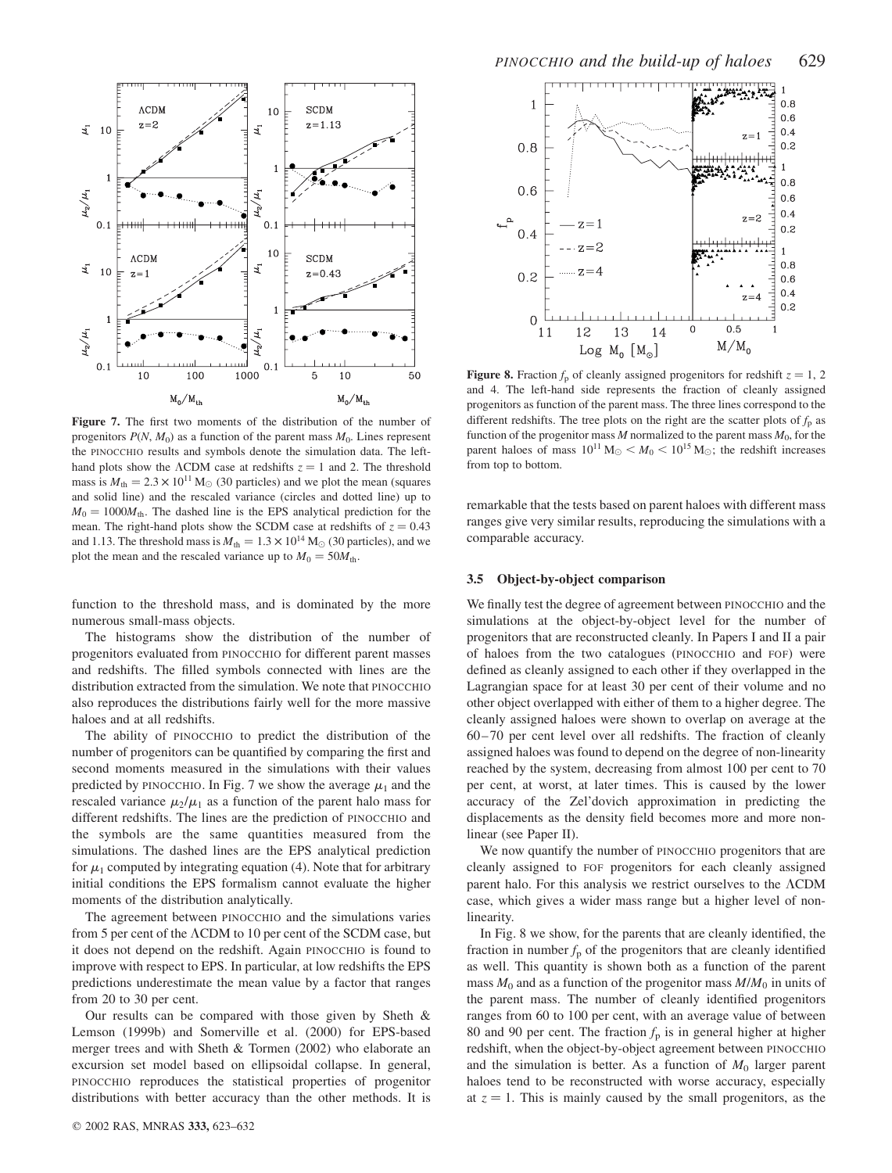

Figure 7. The first two moments of the distribution of the number of progenitors  $P(N, M_0)$  as a function of the parent mass  $M_0$ . Lines represent the PINOCCHIO results and symbols denote the simulation data. The lefthand plots show the  $\Lambda$ CDM case at redshifts  $z = 1$  and 2. The threshold mass is  $M_{\text{th}} = 2.3 \times 10^{11} \text{ M}_{\odot}$  (30 particles) and we plot the mean (squares and solid line) and the rescaled variance (circles and dotted line) up to  $M_0 = 1000M_{\text{th}}$ . The dashed line is the EPS analytical prediction for the mean. The right-hand plots show the SCDM case at redshifts of  $z = 0.43$ and 1.13. The threshold mass is  $M_{\text{th}} = 1.3 \times 10^{14} \text{ M}_{\odot}$  (30 particles), and we plot the mean and the rescaled variance up to  $M_0 = 50M_{\text{th}}$ .

function to the threshold mass, and is dominated by the more numerous small-mass objects.

The histograms show the distribution of the number of progenitors evaluated from PINOCCHIO for different parent masses and redshifts. The filled symbols connected with lines are the distribution extracted from the simulation. We note that PINOCCHIO also reproduces the distributions fairly well for the more massive haloes and at all redshifts.

The ability of PINOCCHIO to predict the distribution of the number of progenitors can be quantified by comparing the first and second moments measured in the simulations with their values predicted by PINOCCHIO. In Fig. 7 we show the average  $\mu_1$  and the rescaled variance  $\mu_2/\mu_1$  as a function of the parent halo mass for different redshifts. The lines are the prediction of PINOCCHIO and the symbols are the same quantities measured from the simulations. The dashed lines are the EPS analytical prediction for  $\mu_1$  computed by integrating equation (4). Note that for arbitrary initial conditions the EPS formalism cannot evaluate the higher moments of the distribution analytically.

The agreement between PINOCCHIO and the simulations varies from 5 per cent of the  $\Lambda$ CDM to 10 per cent of the SCDM case, but it does not depend on the redshift. Again PINOCCHIO is found to improve with respect to EPS. In particular, at low redshifts the EPS predictions underestimate the mean value by a factor that ranges from 20 to 30 per cent.

Our results can be compared with those given by Sheth & Lemson (1999b) and Somerville et al. (2000) for EPS-based merger trees and with Sheth & Tormen (2002) who elaborate an excursion set model based on ellipsoidal collapse. In general, PINOCCHIO reproduces the statistical properties of progenitor distributions with better accuracy than the other methods. It is



**Figure 8.** Fraction  $f_p$  of cleanly assigned progenitors for redshift  $z = 1, 2$ and 4. The left-hand side represents the fraction of cleanly assigned progenitors as function of the parent mass. The three lines correspond to the different redshifts. The tree plots on the right are the scatter plots of  $f_p$  as function of the progenitor mass  $M$  normalized to the parent mass  $M_0$ , for the parent haloes of mass  $10^{11} M_{\odot} < M_0 < 10^{15} M_{\odot}$ ; the redshift increases from top to bottom.

remarkable that the tests based on parent haloes with different mass ranges give very similar results, reproducing the simulations with a comparable accuracy.

#### 3.5 Object-by-object comparison

We finally test the degree of agreement between PINOCCHIO and the simulations at the object-by-object level for the number of progenitors that are reconstructed cleanly. In Papers I and II a pair of haloes from the two catalogues (PINOCCHIO and FOF) were defined as cleanly assigned to each other if they overlapped in the Lagrangian space for at least 30 per cent of their volume and no other object overlapped with either of them to a higher degree. The cleanly assigned haloes were shown to overlap on average at the 60–70 per cent level over all redshifts. The fraction of cleanly assigned haloes was found to depend on the degree of non-linearity reached by the system, decreasing from almost 100 per cent to 70 per cent, at worst, at later times. This is caused by the lower accuracy of the Zel'dovich approximation in predicting the displacements as the density field becomes more and more nonlinear (see Paper II).

We now quantify the number of PINOCCHIO progenitors that are cleanly assigned to FOF progenitors for each cleanly assigned parent halo. For this analysis we restrict ourselves to the  $\Lambda \text{CDM}{}$ case, which gives a wider mass range but a higher level of nonlinearity.

In Fig. 8 we show, for the parents that are cleanly identified, the fraction in number  $f<sub>p</sub>$  of the progenitors that are cleanly identified as well. This quantity is shown both as a function of the parent mass  $M_0$  and as a function of the progenitor mass  $M/M_0$  in units of the parent mass. The number of cleanly identified progenitors ranges from 60 to 100 per cent, with an average value of between 80 and 90 per cent. The fraction  $f<sub>p</sub>$  is in general higher at higher redshift, when the object-by-object agreement between PINOCCHIO and the simulation is better. As a function of  $M_0$  larger parent haloes tend to be reconstructed with worse accuracy, especially at  $z = 1$ . This is mainly caused by the small progenitors, as the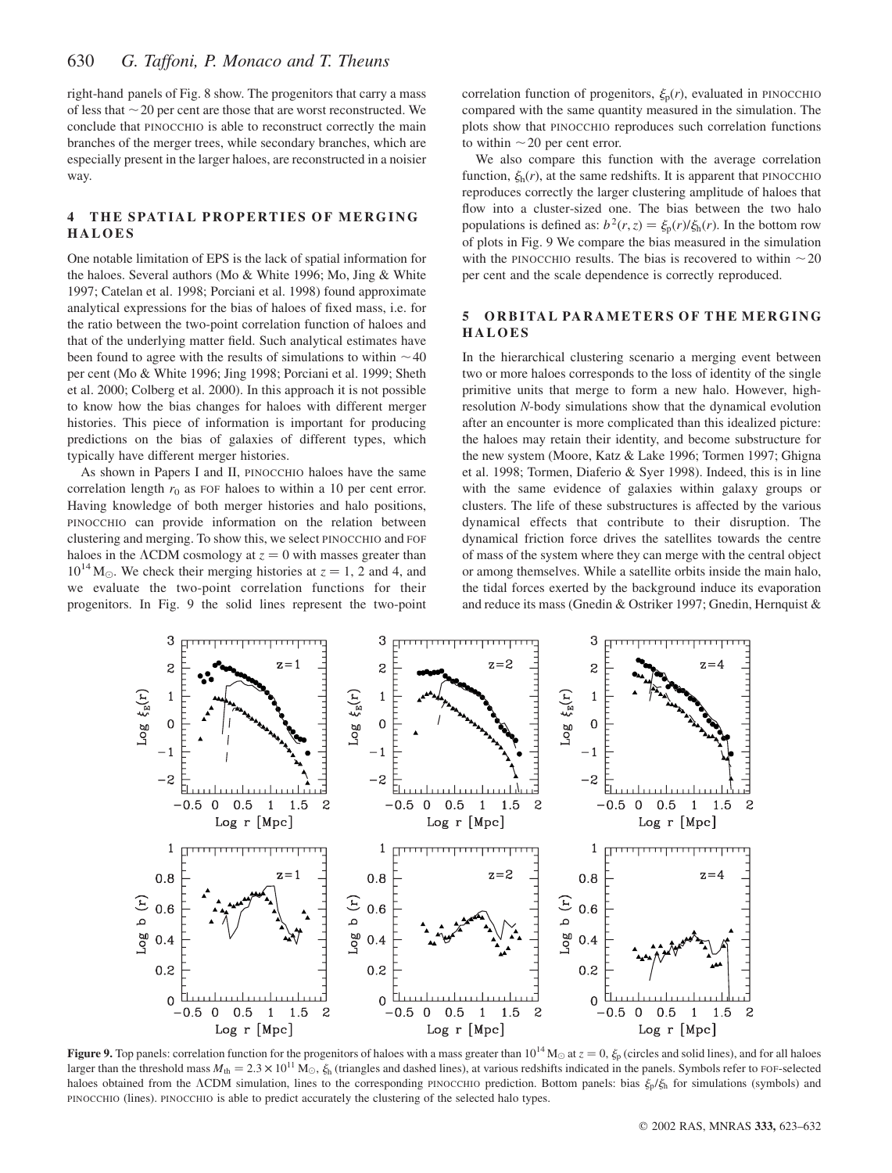right-hand panels of Fig. 8 show. The progenitors that carry a mass of less that  $\sim$  20 per cent are those that are worst reconstructed. We conclude that PINOCCHIO is able to reconstruct correctly the main branches of the merger trees, while secondary branches, which are especially present in the larger haloes, are reconstructed in a noisier way.

## 4 THE SPATIAL PROPERTIES OF MERGING HALOES

One notable limitation of EPS is the lack of spatial information for the haloes. Several authors (Mo & White 1996; Mo, Jing & White 1997; Catelan et al. 1998; Porciani et al. 1998) found approximate analytical expressions for the bias of haloes of fixed mass, i.e. for the ratio between the two-point correlation function of haloes and that of the underlying matter field. Such analytical estimates have been found to agree with the results of simulations to within  $\sim$  40 per cent (Mo & White 1996; Jing 1998; Porciani et al. 1999; Sheth et al. 2000; Colberg et al. 2000). In this approach it is not possible to know how the bias changes for haloes with different merger histories. This piece of information is important for producing predictions on the bias of galaxies of different types, which typically have different merger histories.

As shown in Papers I and II, PINOCCHIO haloes have the same correlation length  $r_0$  as FOF haloes to within a 10 per cent error. Having knowledge of both merger histories and halo positions, PINOCCHIO can provide information on the relation between clustering and merging. To show this, we select PINOCCHIO and FOF haloes in the  $\Lambda$ CDM cosmology at  $z = 0$  with masses greater than  $10^{14}$  M<sub> $\odot$ </sub>. We check their merging histories at  $z = 1$ , 2 and 4, and we evaluate the two-point correlation functions for their progenitors. In Fig. 9 the solid lines represent the two-point correlation function of progenitors,  $\xi_{p}(r)$ , evaluated in PINOCCHIO compared with the same quantity measured in the simulation. The plots show that PINOCCHIO reproduces such correlation functions to within  $\sim$  20 per cent error.

We also compare this function with the average correlation function,  $\xi_h(r)$ , at the same redshifts. It is apparent that PINOCCHIO reproduces correctly the larger clustering amplitude of haloes that flow into a cluster-sized one. The bias between the two halo populations is defined as:  $b^2(r, z) = \xi_p(r)/\xi_h(r)$ . In the bottom row of plots in Fig. 9 We compare the bias measured in the simulation with the PINOCCHIO results. The bias is recovered to within  $\sim$  20 per cent and the scale dependence is correctly reproduced.

#### 5 ORBITAL PARAMETERS OF THE MERGING HALOES

In the hierarchical clustering scenario a merging event between two or more haloes corresponds to the loss of identity of the single primitive units that merge to form a new halo. However, highresolution N-body simulations show that the dynamical evolution after an encounter is more complicated than this idealized picture: the haloes may retain their identity, and become substructure for the new system (Moore, Katz & Lake 1996; Tormen 1997; Ghigna et al. 1998; Tormen, Diaferio & Syer 1998). Indeed, this is in line with the same evidence of galaxies within galaxy groups or clusters. The life of these substructures is affected by the various dynamical effects that contribute to their disruption. The dynamical friction force drives the satellites towards the centre of mass of the system where they can merge with the central object or among themselves. While a satellite orbits inside the main halo, the tidal forces exerted by the background induce its evaporation and reduce its mass (Gnedin & Ostriker 1997; Gnedin, Hernquist &



**Figure 9.** Top panels: correlation function for the progenitors of haloes with a mass greater than  $10^{14}$  M $\odot$  at  $z = 0$ ,  $\xi_p$  (circles and solid lines), and for all haloes larger than the threshold mass  $M_{\text{th}} = 2.3 \times 10^{11} \text{ M}_{\odot}$ ,  $\xi_{\text{h}}$  (triangles and dashed lines), at various redshifts indicated in the panels. Symbols refer to FOF-selected haloes obtained from the ACDM simulation, lines to the corresponding PINOCCHIO prediction. Bottom panels: bias  $\xi_p/\xi_h$  for simulations (symbols) and PINOCCHIO (lines). PINOCCHIO is able to predict accurately the clustering of the selected halo types.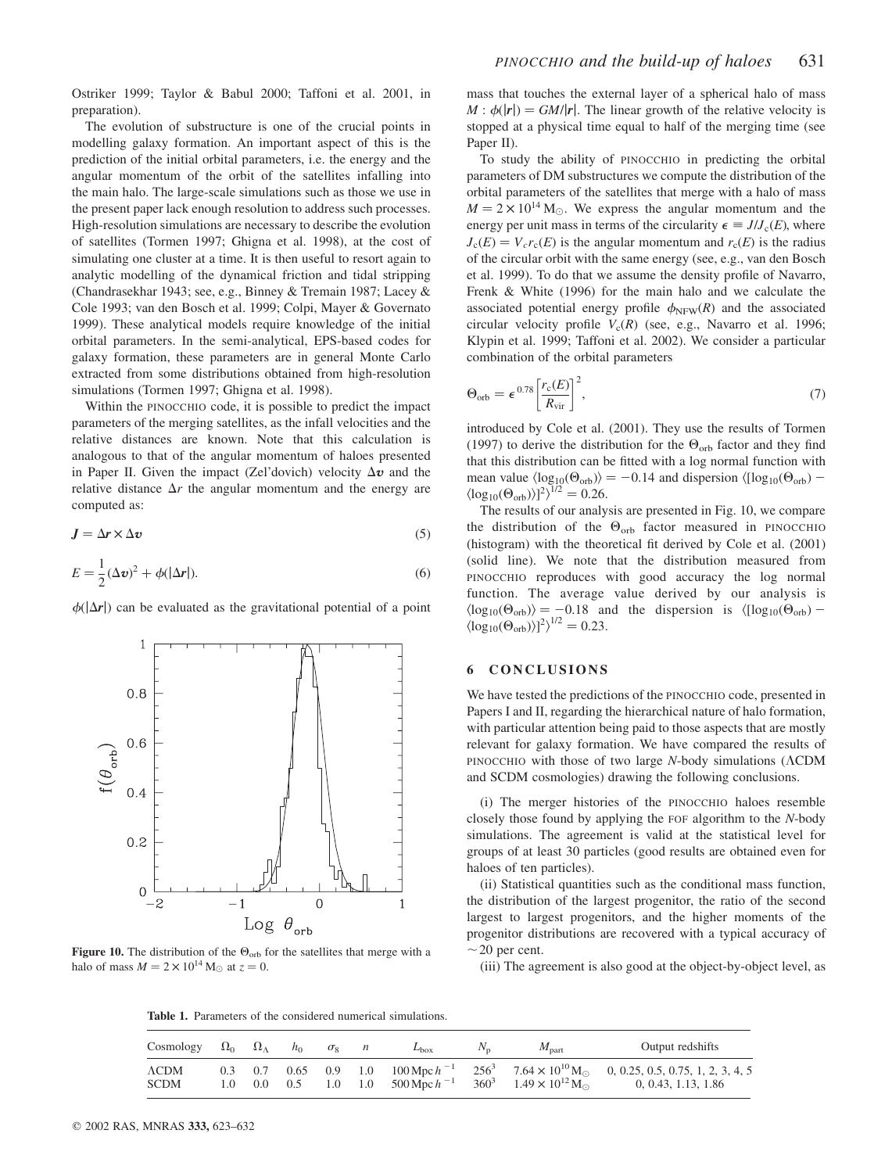Ostriker 1999; Taylor & Babul 2000; Taffoni et al. 2001, in preparation).

The evolution of substructure is one of the crucial points in modelling galaxy formation. An important aspect of this is the prediction of the initial orbital parameters, i.e. the energy and the angular momentum of the orbit of the satellites infalling into the main halo. The large-scale simulations such as those we use in the present paper lack enough resolution to address such processes. High-resolution simulations are necessary to describe the evolution of satellites (Tormen 1997; Ghigna et al. 1998), at the cost of simulating one cluster at a time. It is then useful to resort again to analytic modelling of the dynamical friction and tidal stripping (Chandrasekhar 1943; see, e.g., Binney & Tremain 1987; Lacey & Cole 1993; van den Bosch et al. 1999; Colpi, Mayer & Governato 1999). These analytical models require knowledge of the initial orbital parameters. In the semi-analytical, EPS-based codes for galaxy formation, these parameters are in general Monte Carlo extracted from some distributions obtained from high-resolution simulations (Tormen 1997; Ghigna et al. 1998).

Within the PINOCCHIO code, it is possible to predict the impact parameters of the merging satellites, as the infall velocities and the relative distances are known. Note that this calculation is analogous to that of the angular momentum of haloes presented in Paper II. Given the impact (Zel'dovich) velocity  $\Delta v$  and the relative distance  $\Delta r$  the angular momentum and the energy are computed as:

$$
J = \Delta r \times \Delta v \tag{5}
$$

$$
E = \frac{1}{2} (\Delta \mathbf{v})^2 + \phi(|\Delta \mathbf{r}|). \tag{6}
$$

 $\phi(|\Delta r|)$  can be evaluated as the gravitational potential of a point



Figure 10. The distribution of the  $\Theta_{\rm orb}$  for the satellites that merge with a halo of mass  $M = 2 \times 10^{14}$  M<sub>o</sub> at  $z = 0$ .

mass that touches the external layer of a spherical halo of mass  $M : \phi(|r|) = GM/|r|$ . The linear growth of the relative velocity is stopped at a physical time equal to half of the merging time (see Paper II).

To study the ability of PINOCCHIO in predicting the orbital parameters of DM substructures we compute the distribution of the orbital parameters of the satellites that merge with a halo of mass  $M = 2 \times 10^{14}$  M<sub>o</sub>. We express the angular momentum and the energy per unit mass in terms of the circularity  $\epsilon \equiv J/J_c(E)$ , where  $J_c(E) = V_c r_c(E)$  is the angular momentum and  $r_c(E)$  is the radius of the circular orbit with the same energy (see, e.g., van den Bosch et al. 1999). To do that we assume the density profile of Navarro, Frenk & White (1996) for the main halo and we calculate the associated potential energy profile  $\phi_{NFW}(R)$  and the associated circular velocity profile  $V_c(R)$  (see, e.g., Navarro et al. 1996; Klypin et al. 1999; Taffoni et al. 2002). We consider a particular combination of the orbital parameters

$$
\Theta_{\rm orb} = \epsilon^{0.78} \left[ \frac{r_{\rm c}(E)}{R_{\rm vir}} \right]^2,\tag{7}
$$

introduced by Cole et al. (2001). They use the results of Tormen (1997) to derive the distribution for the  $\Theta_{\text{orb}}$  factor and they find that this distribution can be fitted with a log normal function with mean value  $\langle \log_{10}(\Theta_{\text{orb}}) \rangle = -0.14$  and dispersion  $\langle [\log_{10}(\Theta_{\text{orb}}) - \log_{10}(\Theta_{\text{orb}})] \rangle$  $\langle \log_{10}(\Theta_{\rm orb}) \rangle ]^2 \rangle^{1/2} = 0.26.$ 

The results of our analysis are presented in Fig. 10, we compare the distribution of the  $\Theta_{\text{orb}}$  factor measured in PINOCCHIO (histogram) with the theoretical fit derived by Cole et al. (2001) (solid line). We note that the distribution measured from PINOCCHIO reproduces with good accuracy the log normal function. The average value derived by our analysis is  $\langle \log_{10}(\Theta_{\rm orb}) \rangle = -0.18$  and the dispersion is  $\langle [\log_{10}(\Theta_{\rm orb}) \langle \log_{10}(\Theta_{\rm orb}) \rangle$ ]<sup>2</sup> $\rangle^{1/2} = 0.23$ .

#### 6 CONCLUSIONS

We have tested the predictions of the PINOCCHIO code, presented in Papers I and II, regarding the hierarchical nature of halo formation, with particular attention being paid to those aspects that are mostly relevant for galaxy formation. We have compared the results of PINOCCHIO with those of two large  $N$ -body simulations ( $\Lambda$ CDM and SCDM cosmologies) drawing the following conclusions.

(i) The merger histories of the PINOCCHIO haloes resemble closely those found by applying the FOF algorithm to the N-body simulations. The agreement is valid at the statistical level for groups of at least 30 particles (good results are obtained even for haloes of ten particles).

(ii) Statistical quantities such as the conditional mass function, the distribution of the largest progenitor, the ratio of the second largest to largest progenitors, and the higher moments of the progenitor distributions are recovered with a typical accuracy of  $\sim$  20 per cent.

(iii) The agreement is also good at the object-by-object level, as

Table 1. Parameters of the considered numerical simulations.

| Cosmology $\Omega_0$ $\Omega_\Lambda$ |         | $h_{0}$ | $\sigma_8$ n | $L_{\rm box}$ | $N_{\rm n}$ | $M_{\text{part}}$                                                                               | Output redshifts                                                                                                                                       |
|---------------------------------------|---------|---------|--------------|---------------|-------------|-------------------------------------------------------------------------------------------------|--------------------------------------------------------------------------------------------------------------------------------------------------------|
| $\Lambda$ CDM<br><b>SCDM</b>          | $1.0 -$ |         |              |               |             | 0.0 0.5 1.0 1.0 500 Mpc $h^{-1}$ 360 <sup>3</sup> 1.49 $\times$ 10 <sup>12</sup> M <sub>O</sub> | 0.3 0.7 0.65 0.9 1.0 $100 \text{ Mpc} h^{-1}$ $256^3$ $7.64 \times 10^{10} \text{ M}_{\odot}$ 0, 0.25, 0.5, 0.75, 1, 2, 3, 4, 5<br>0, 0.43, 1.13, 1.86 |